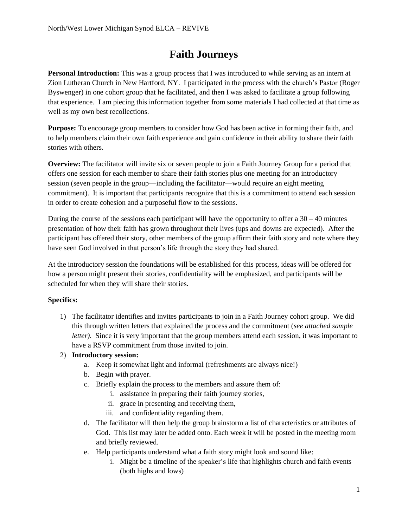## **Faith Journeys**

**Personal Introduction:** This was a group process that I was introduced to while serving as an intern at Zion Lutheran Church in New Hartford, NY. I participated in the process with the church's Pastor (Roger Byswenger) in one cohort group that he facilitated, and then I was asked to facilitate a group following that experience. I am piecing this information together from some materials I had collected at that time as well as my own best recollections.

**Purpose:** To encourage group members to consider how God has been active in forming their faith, and to help members claim their own faith experience and gain confidence in their ability to share their faith stories with others.

**Overview:** The facilitator will invite six or seven people to join a Faith Journey Group for a period that offers one session for each member to share their faith stories plus one meeting for an introductory session (seven people in the group—including the facilitator—would require an eight meeting commitment). It is important that participants recognize that this is a commitment to attend each session in order to create cohesion and a purposeful flow to the sessions.

During the course of the sessions each participant will have the opportunity to offer a  $30 - 40$  minutes presentation of how their faith has grown throughout their lives (ups and downs are expected). After the participant has offered their story, other members of the group affirm their faith story and note where they have seen God involved in that person's life through the story they had shared.

At the introductory session the foundations will be established for this process, ideas will be offered for how a person might present their stories, confidentiality will be emphasized, and participants will be scheduled for when they will share their stories.

### **Specifics:**

1) The facilitator identifies and invites participants to join in a Faith Journey cohort group. We did this through written letters that explained the process and the commitment (*see attached sample letter).* Since it is very important that the group members attend each session, it was important to have a RSVP commitment from those invited to join.

### 2) **Introductory session:**

- a. Keep it somewhat light and informal (refreshments are always nice!)
- b. Begin with prayer.
- c. Briefly explain the process to the members and assure them of:
	- i. assistance in preparing their faith journey stories,
	- ii. grace in presenting and receiving them,
	- iii. and confidentiality regarding them.
- d. The facilitator will then help the group brainstorm a list of characteristics or attributes of God. This list may later be added onto. Each week it will be posted in the meeting room and briefly reviewed.
- e. Help participants understand what a faith story might look and sound like:
	- i. Might be a timeline of the speaker's life that highlights church and faith events (both highs and lows)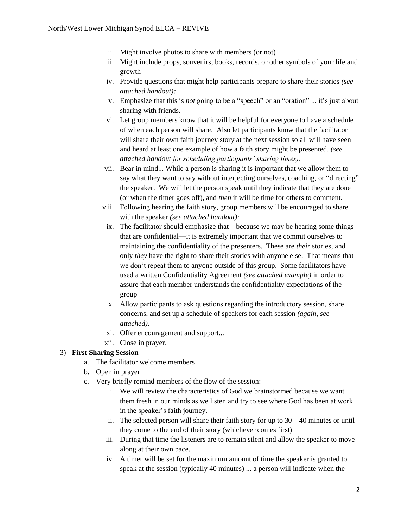- ii. Might involve photos to share with members (or not)
- iii. Might include props, souvenirs, books, records, or other symbols of your life and growth
- iv. Provide questions that might help participants prepare to share their stories *(see attached handout):*
- v. Emphasize that this is *not* going to be a "speech" or an "oration" ... it's just about sharing with friends.
- vi. Let group members know that it will be helpful for everyone to have a schedule of when each person will share. Also let participants know that the facilitator will share their own faith journey story at the next session so all will have seen and heard at least one example of how a faith story might be presented. *(see attached handout for scheduling participants' sharing times).*
- vii. Bear in mind... While a person is sharing it is important that we allow them to say what they want to say without interjecting ourselves, coaching, or "directing" the speaker. We will let the person speak until they indicate that they are done (or when the timer goes off), and *then* it will be time for others to comment.
- viii. Following hearing the faith story, group members will be encouraged to share with the speaker *(see attached handout):*
- ix. The facilitator should emphasize that—because we may be hearing some things that are confidential—it is extremely important that we commit ourselves to maintaining the confidentiality of the presenters. These are *their* stories, and only *they* have the right to share their stories with anyone else. That means that we don't repeat them to anyone outside of this group. Some facilitators have used a written Confidentiality Agreement *(see attached example)* in order to assure that each member understands the confidentiality expectations of the group
- x. Allow participants to ask questions regarding the introductory session, share concerns, and set up a schedule of speakers for each session *(again, see attached).*
- xi. Offer encouragement and support...
- xii. Close in prayer.

#### 3) **First Sharing Session**

- a. The facilitator welcome members
- b. Open in prayer
- c. Very briefly remind members of the flow of the session:
	- i. We will review the characteristics of God we brainstormed because we want them fresh in our minds as we listen and try to see where God has been at work in the speaker's faith journey.
	- ii. The selected person will share their faith story for up to  $30 40$  minutes or until they come to the end of their story (whichever comes first)
	- iii. During that time the listeners are to remain silent and allow the speaker to move along at their own pace.
	- iv. A timer will be set for the maximum amount of time the speaker is granted to speak at the session (typically 40 minutes) ... a person will indicate when the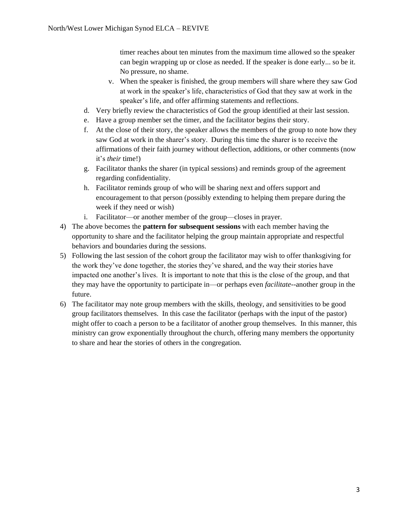timer reaches about ten minutes from the maximum time allowed so the speaker can begin wrapping up or close as needed. If the speaker is done early... so be it. No pressure, no shame.

- v. When the speaker is finished, the group members will share where they saw God at work in the speaker's life, characteristics of God that they saw at work in the speaker's life, and offer affirming statements and reflections.
- d. Very briefly review the characteristics of God the group identified at their last session.
- e. Have a group member set the timer, and the facilitator begins their story.
- f. At the close of their story, the speaker allows the members of the group to note how they saw God at work in the sharer's story. During this time the sharer is to receive the affirmations of their faith journey without deflection, additions, or other comments (now it's *their* time!)
- g. Facilitator thanks the sharer (in typical sessions) and reminds group of the agreement regarding confidentiality.
- h. Facilitator reminds group of who will be sharing next and offers support and encouragement to that person (possibly extending to helping them prepare during the week if they need or wish)
- i. Facilitator—or another member of the group—closes in prayer.
- 4) The above becomes the **pattern for subsequent sessions** with each member having the opportunity to share and the facilitator helping the group maintain appropriate and respectful behaviors and boundaries during the sessions.
- 5) Following the last session of the cohort group the facilitator may wish to offer thanksgiving for the work they've done together, the stories they've shared, and the way their stories have impacted one another's lives. It is important to note that this is the close of the group, and that they may have the opportunity to participate in—or perhaps even *facilitate*--another group in the future.
- 6) The facilitator may note group members with the skills, theology, and sensitivities to be good group facilitators themselves. In this case the facilitator (perhaps with the input of the pastor) might offer to coach a person to be a facilitator of another group themselves. In this manner, this ministry can grow exponentially throughout the church, offering many members the opportunity to share and hear the stories of others in the congregation.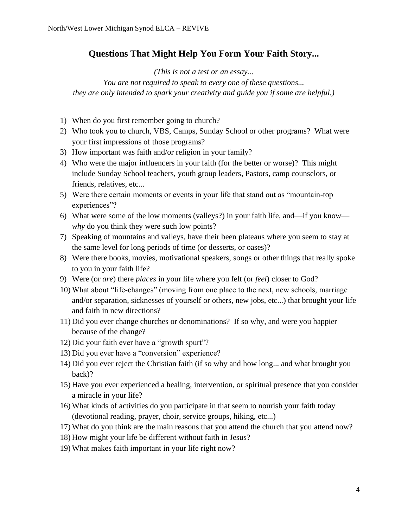## **Questions That Might Help You Form Your Faith Story...**

*(This is not a test or an essay...* 

*You are not required to speak to every one of these questions... they are only intended to spark your creativity and guide you if some are helpful.)*

- 1) When do you first remember going to church?
- 2) Who took you to church, VBS, Camps, Sunday School or other programs? What were your first impressions of those programs?
- 3) How important was faith and/or religion in your family?
- 4) Who were the major influencers in your faith (for the better or worse)? This might include Sunday School teachers, youth group leaders, Pastors, camp counselors, or friends, relatives, etc...
- 5) Were there certain moments or events in your life that stand out as "mountain-top experiences"?
- 6) What were some of the low moments (valleys?) in your faith life, and—if you know *why* do you think they were such low points?
- 7) Speaking of mountains and valleys, have their been plateaus where you seem to stay at the same level for long periods of time (or desserts, or oases)?
- 8) Were there books, movies, motivational speakers, songs or other things that really spoke to you in your faith life?
- 9) Were (or *are*) there *places* in your life where you felt (or *feel*) closer to God?
- 10) What about "life-changes" (moving from one place to the next, new schools, marriage and/or separation, sicknesses of yourself or others, new jobs, etc...) that brought your life and faith in new directions?
- 11) Did you ever change churches or denominations? If so why, and were you happier because of the change?
- 12) Did your faith ever have a "growth spurt"?
- 13) Did you ever have a "conversion" experience?
- 14) Did you ever reject the Christian faith (if so why and how long... and what brought you back)?
- 15) Have you ever experienced a healing, intervention, or spiritual presence that you consider a miracle in your life?
- 16) What kinds of activities do you participate in that seem to nourish your faith today (devotional reading, prayer, choir, service groups, hiking, etc...)
- 17) What do you think are the main reasons that you attend the church that you attend now?
- 18) How might your life be different without faith in Jesus?
- 19) What makes faith important in your life right now?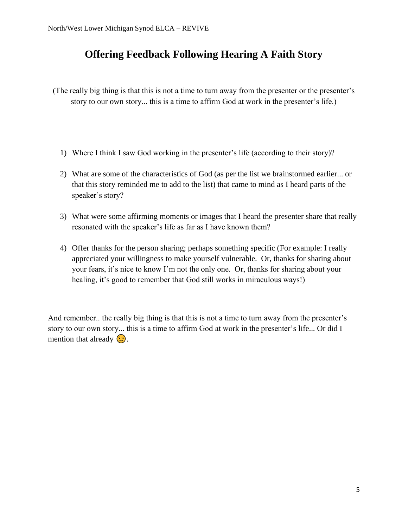## **Offering Feedback Following Hearing A Faith Story**

(The really big thing is that this is not a time to turn away from the presenter or the presenter's story to our own story... this is a time to affirm God at work in the presenter's life.)

- 1) Where I think I saw God working in the presenter's life (according to their story)?
- 2) What are some of the characteristics of God (as per the list we brainstormed earlier... or that this story reminded me to add to the list) that came to mind as I heard parts of the speaker's story?
- 3) What were some affirming moments or images that I heard the presenter share that really resonated with the speaker's life as far as I have known them?
- 4) Offer thanks for the person sharing; perhaps something specific (For example: I really appreciated your willingness to make yourself vulnerable. Or, thanks for sharing about your fears, it's nice to know I'm not the only one. Or, thanks for sharing about your healing, it's good to remember that God still works in miraculous ways!)

And remember.. the really big thing is that this is not a time to turn away from the presenter's story to our own story... this is a time to affirm God at work in the presenter's life... Or did I mention that already  $\circled{.}$ .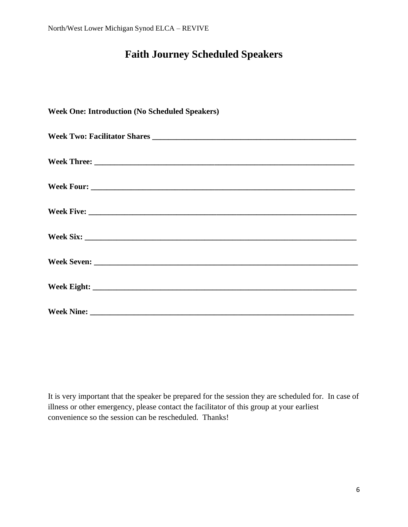# **Faith Journey Scheduled Speakers**

| <b>Week One: Introduction (No Scheduled Speakers)</b> |
|-------------------------------------------------------|
|                                                       |
|                                                       |
|                                                       |
|                                                       |
|                                                       |
|                                                       |
|                                                       |
|                                                       |

It is very important that the speaker be prepared for the session they are scheduled for. In case of illness or other emergency, please contact the facilitator of this group at your earliest convenience so the session can be rescheduled. Thanks!